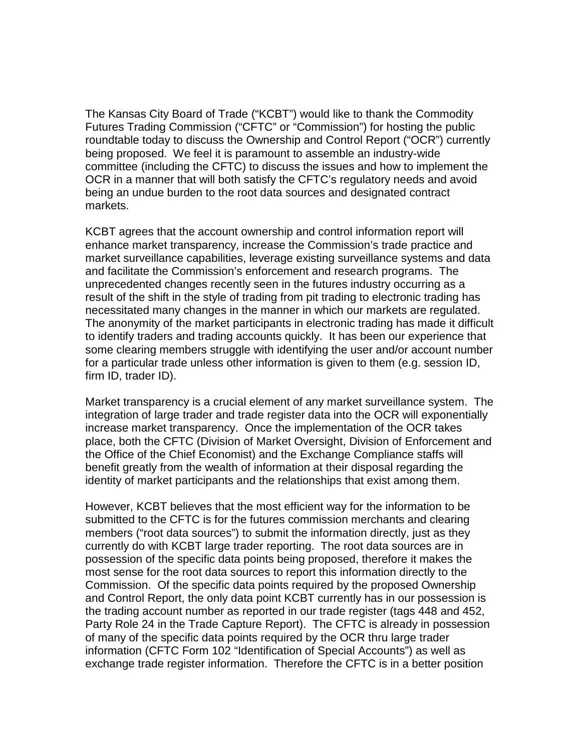The Kansas City Board of Trade ("KCBT") would like to thank the Commodity Futures Trading Commission ("CFTC" or "Commission") for hosting the public roundtable today to discuss the Ownership and Control Report ("OCR") currently being proposed. We feel it is paramount to assemble an industry-wide committee (including the CFTC) to discuss the issues and how to implement the OCR in a manner that will both satisfy the CFTC's regulatory needs and avoid being an undue burden to the root data sources and designated contract markets.

KCBT agrees that the account ownership and control information report will enhance market transparency, increase the Commission's trade practice and market surveillance capabilities, leverage existing surveillance systems and data and facilitate the Commission's enforcement and research programs. The unprecedented changes recently seen in the futures industry occurring as a result of the shift in the style of trading from pit trading to electronic trading has necessitated many changes in the manner in which our markets are regulated. The anonymity of the market participants in electronic trading has made it difficult to identify traders and trading accounts quickly. It has been our experience that some clearing members struggle with identifying the user and/or account number for a particular trade unless other information is given to them (e.g. session ID, firm ID, trader ID).

Market transparency is a crucial element of any market surveillance system. The integration of large trader and trade register data into the OCR will exponentially increase market transparency. Once the implementation of the OCR takes place, both the CFTC (Division of Market Oversight, Division of Enforcement and the Office of the Chief Economist) and the Exchange Compliance staffs will benefit greatly from the wealth of information at their disposal regarding the identity of market participants and the relationships that exist among them.

However, KCBT believes that the most efficient way for the information to be submitted to the CFTC is for the futures commission merchants and clearing members ("root data sources") to submit the information directly, just as they currently do with KCBT large trader reporting. The root data sources are in possession of the specific data points being proposed, therefore it makes the most sense for the root data sources to report this information directly to the Commission. Of the specific data points required by the proposed Ownership and Control Report, the only data point KCBT currently has in our possession is the trading account number as reported in our trade register (tags 448 and 452, Party Role 24 in the Trade Capture Report). The CFTC is already in possession of many of the specific data points required by the OCR thru large trader information (CFTC Form 102 "Identification of Special Accounts") as well as exchange trade register information. Therefore the CFTC is in a better position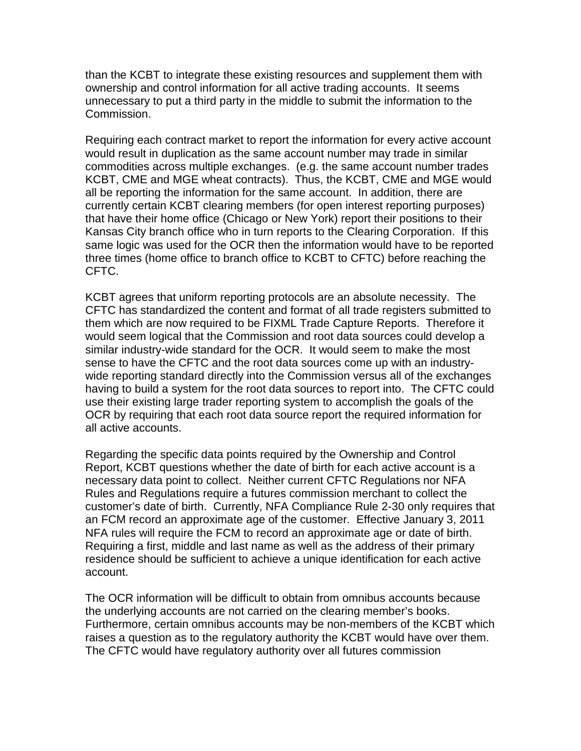than the KCBT to integrate these existing resources and supplement them with ownership and control information for all active trading accounts. It seems unnecessary to put a third party in the middle to submit the information to the Commission.

Requiring each contract market to report the information for every active account would result in duplication as the same account number may trade in similar commodities across multiple exchanges. (e.g. the same account number trades KCBT, CME and MGE wheat contracts). Thus, the KCBT, CME and MGE would all be reporting the information for the same account. In addition, there are currently certain KCBT clearing members (for open interest reporting purposes) that have their home office (Chicago or New York) report their positions to their Kansas City branch office who in turn reports to the Clearing Corporation. If this same logic was used for the OCR then the information would have to be reported three times (home office to branch office to KCBT to CFTC) before reaching the CFTC.

KCBT agrees that uniform reporting protocols are an absolute necessity. The CFTC has standardized the content and format of all trade registers submitted to them which are now required to be FIXML Trade Capture Reports. Therefore it would seem logical that the Commission and root data sources could develop a similar industry-wide standard for the OCR. It would seem to make the most sense to have the CFTC and the root data sources come up with an industrywide reporting standard directly into the Commission versus all of the exchanges having to build a system for the root data sources to report into. The CFTC could use their existing large trader reporting system to accomplish the goals of the OCR by requiring that each root data source report the required information for all active accounts.

Regarding the specific data points required by the Ownership and Control Report, KCBT questions whether the date of birth for each active account is a necessary data point to collect. Neither current CFTC Regulations nor NFA Rules and Regulations require a futures commission merchant to collect the customer's date of birth. Currently, NFA Compliance Rule 2-30 only requires that an FCM record an approximate age of the customer. Effective January 3, 2011 NFA rules will require the FCM to record an approximate age or date of birth. Requiring a first, middle and last name as well as the address of their primary residence should be sufficient to achieve a unique identification for each active account.

The OCR information will be difficult to obtain from omnibus accounts because the underlying accounts are not carried on the clearing member's books. Furthermore, certain omnibus accounts may be non-members of the KCBT which raises a question as to the regulatory authority the KCBT would have over them. The CFTC would have regulatory authority over all futures commission